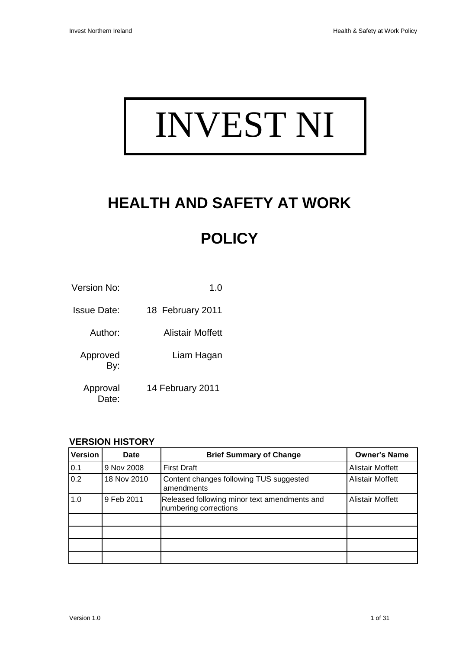# INVEST NI

## **HEALTH AND SAFETY AT WORK**

### **POLICY**

| Version No:       | 1.0              |
|-------------------|------------------|
| Issue Date:       | 18 February 2011 |
| Author:           | Alistair Moffett |
| Approved<br>By:   | Liam Hagan       |
| Approval<br>Date: | 14 February 2011 |

#### **VERSION HISTORY**

| Version | Date        | <b>Brief Summary of Change</b>                                        | <b>Owner's Name</b>     |
|---------|-------------|-----------------------------------------------------------------------|-------------------------|
| 0.1     | 9 Nov 2008  | <b>First Draft</b>                                                    | <b>Alistair Moffett</b> |
| 0.2     | 18 Nov 2010 | Content changes following TUS suggested<br>amendments                 | <b>Alistair Moffett</b> |
| 1.0     | 9 Feb 2011  | Released following minor text amendments and<br>numbering corrections | <b>Alistair Moffett</b> |
|         |             |                                                                       |                         |
|         |             |                                                                       |                         |
|         |             |                                                                       |                         |
|         |             |                                                                       |                         |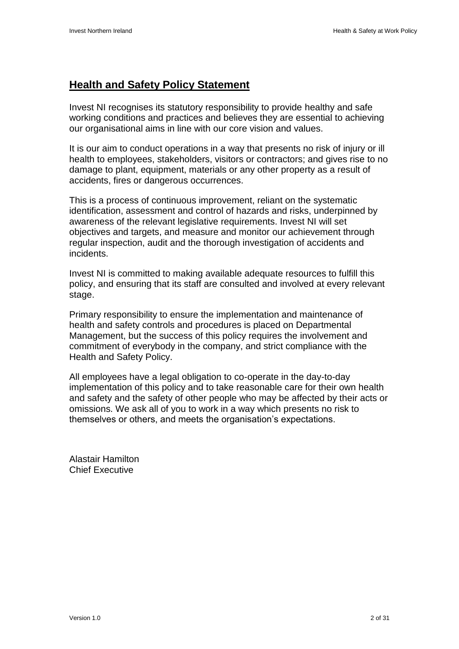#### **Health and Safety Policy Statement**

Invest NI recognises its statutory responsibility to provide healthy and safe working conditions and practices and believes they are essential to achieving our organisational aims in line with our core vision and values.

It is our aim to conduct operations in a way that presents no risk of injury or ill health to employees, stakeholders, visitors or contractors; and gives rise to no damage to plant, equipment, materials or any other property as a result of accidents, fires or dangerous occurrences.

This is a process of continuous improvement, reliant on the systematic identification, assessment and control of hazards and risks, underpinned by awareness of the relevant legislative requirements. Invest NI will set objectives and targets, and measure and monitor our achievement through regular inspection, audit and the thorough investigation of accidents and incidents.

Invest NI is committed to making available adequate resources to fulfill this policy, and ensuring that its staff are consulted and involved at every relevant stage.

Primary responsibility to ensure the implementation and maintenance of health and safety controls and procedures is placed on Departmental Management, but the success of this policy requires the involvement and commitment of everybody in the company, and strict compliance with the Health and Safety Policy.

All employees have a legal obligation to co-operate in the day-to-day implementation of this policy and to take reasonable care for their own health and safety and the safety of other people who may be affected by their acts or omissions. We ask all of you to work in a way which presents no risk to themselves or others, and meets the organisation"s expectations.

Alastair Hamilton Chief Executive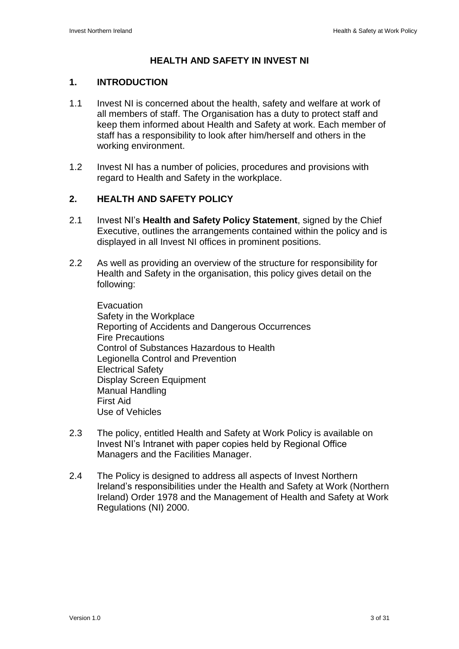#### **HEALTH AND SAFETY IN INVEST NI**

#### **1. INTRODUCTION**

- 1.1 Invest NI is concerned about the health, safety and welfare at work of all members of staff. The Organisation has a duty to protect staff and keep them informed about Health and Safety at work. Each member of staff has a responsibility to look after him/herself and others in the working environment.
- 1.2 Invest NI has a number of policies, procedures and provisions with regard to Health and Safety in the workplace.

#### **2. HEALTH AND SAFETY POLICY**

- 2.1 Invest NI"s **Health and Safety Policy Statement**, signed by the Chief Executive, outlines the arrangements contained within the policy and is displayed in all Invest NI offices in prominent positions.
- 2.2 As well as providing an overview of the structure for responsibility for Health and Safety in the organisation, this policy gives detail on the following:

**Evacuation** Safety in the Workplace Reporting of Accidents and Dangerous Occurrences Fire Precautions Control of Substances Hazardous to Health Legionella Control and Prevention Electrical Safety Display Screen Equipment Manual Handling First Aid Use of Vehicles

- 2.3 The policy, entitled Health and Safety at Work Policy is available on Invest NI"s Intranet with paper copies held by Regional Office Managers and the Facilities Manager.
- 2.4 The Policy is designed to address all aspects of Invest Northern Ireland"s responsibilities under the Health and Safety at Work (Northern Ireland) Order 1978 and the Management of Health and Safety at Work Regulations (NI) 2000.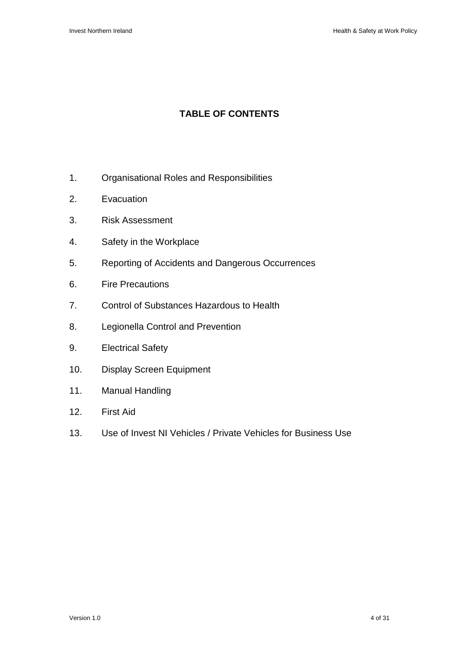#### **TABLE OF CONTENTS**

- 1. Organisational Roles and Responsibilities
- 2. Evacuation
- 3. Risk Assessment
- 4. Safety in the Workplace
- 5. Reporting of Accidents and Dangerous Occurrences
- 6. Fire Precautions
- 7. Control of Substances Hazardous to Health
- 8. Legionella Control and Prevention
- 9. Electrical Safety
- 10. Display Screen Equipment
- 11. Manual Handling
- 12. First Aid
- 13. Use of Invest NI Vehicles / Private Vehicles for Business Use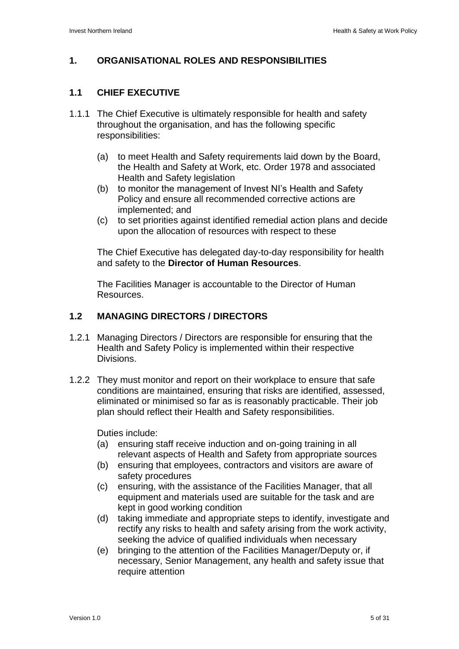#### **1. ORGANISATIONAL ROLES AND RESPONSIBILITIES**

#### **1.1 CHIEF EXECUTIVE**

- 1.1.1 The Chief Executive is ultimately responsible for health and safety throughout the organisation, and has the following specific responsibilities:
	- (a) to meet Health and Safety requirements laid down by the Board, the Health and Safety at Work, etc. Order 1978 and associated Health and Safety legislation
	- (b) to monitor the management of Invest NI"s Health and Safety Policy and ensure all recommended corrective actions are implemented; and
	- (c) to set priorities against identified remedial action plans and decide upon the allocation of resources with respect to these

The Chief Executive has delegated day-to-day responsibility for health and safety to the **Director of Human Resources**.

The Facilities Manager is accountable to the Director of Human Resources.

#### **1.2 MANAGING DIRECTORS / DIRECTORS**

- 1.2.1 Managing Directors / Directors are responsible for ensuring that the Health and Safety Policy is implemented within their respective Divisions.
- 1.2.2 They must monitor and report on their workplace to ensure that safe conditions are maintained, ensuring that risks are identified, assessed, eliminated or minimised so far as is reasonably practicable. Their job plan should reflect their Health and Safety responsibilities.

Duties include:

- (a) ensuring staff receive induction and on-going training in all relevant aspects of Health and Safety from appropriate sources
- (b) ensuring that employees, contractors and visitors are aware of safety procedures
- (c) ensuring, with the assistance of the Facilities Manager, that all equipment and materials used are suitable for the task and are kept in good working condition
- (d) taking immediate and appropriate steps to identify, investigate and rectify any risks to health and safety arising from the work activity, seeking the advice of qualified individuals when necessary
- (e) bringing to the attention of the Facilities Manager/Deputy or, if necessary, Senior Management, any health and safety issue that require attention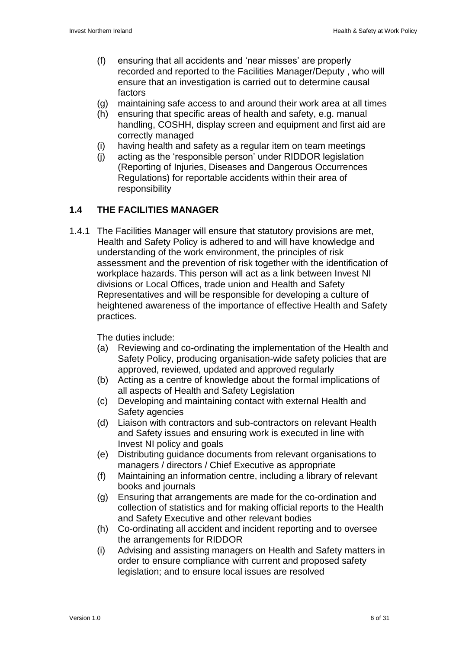- (f) ensuring that all accidents and "near misses" are properly recorded and reported to the Facilities Manager/Deputy , who will ensure that an investigation is carried out to determine causal factors
- (g) maintaining safe access to and around their work area at all times
- (h) ensuring that specific areas of health and safety, e.g. manual handling, COSHH, display screen and equipment and first aid are correctly managed
- (i) having health and safety as a regular item on team meetings
- (j) acting as the "responsible person" under RIDDOR legislation (Reporting of Injuries, Diseases and Dangerous Occurrences Regulations) for reportable accidents within their area of responsibility

#### **1.4 THE FACILITIES MANAGER**

1.4.1 The Facilities Manager will ensure that statutory provisions are met, Health and Safety Policy is adhered to and will have knowledge and understanding of the work environment, the principles of risk assessment and the prevention of risk together with the identification of workplace hazards. This person will act as a link between Invest NI divisions or Local Offices, trade union and Health and Safety Representatives and will be responsible for developing a culture of heightened awareness of the importance of effective Health and Safety practices.

The duties include:

- (a) Reviewing and co-ordinating the implementation of the Health and Safety Policy, producing organisation-wide safety policies that are approved, reviewed, updated and approved regularly
- (b) Acting as a centre of knowledge about the formal implications of all aspects of Health and Safety Legislation
- (c) Developing and maintaining contact with external Health and Safety agencies
- (d) Liaison with contractors and sub-contractors on relevant Health and Safety issues and ensuring work is executed in line with Invest NI policy and goals
- (e) Distributing guidance documents from relevant organisations to managers / directors / Chief Executive as appropriate
- (f) Maintaining an information centre, including a library of relevant books and journals
- (g) Ensuring that arrangements are made for the co-ordination and collection of statistics and for making official reports to the Health and Safety Executive and other relevant bodies
- (h) Co-ordinating all accident and incident reporting and to oversee the arrangements for RIDDOR
- (i) Advising and assisting managers on Health and Safety matters in order to ensure compliance with current and proposed safety legislation; and to ensure local issues are resolved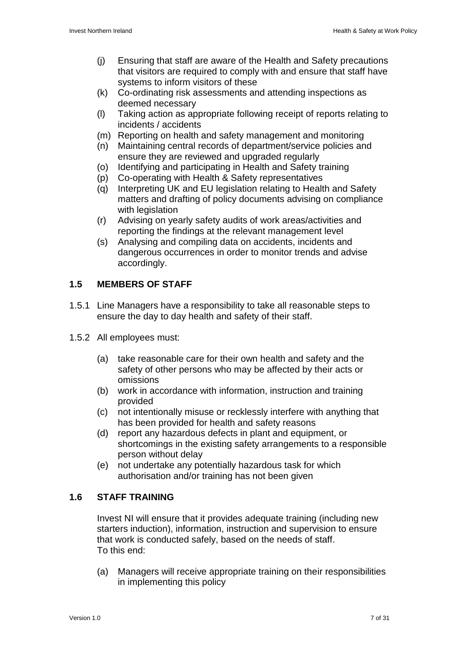- (j) Ensuring that staff are aware of the Health and Safety precautions that visitors are required to comply with and ensure that staff have systems to inform visitors of these
- (k) Co-ordinating risk assessments and attending inspections as deemed necessary
- (l) Taking action as appropriate following receipt of reports relating to incidents / accidents
- (m) Reporting on health and safety management and monitoring
- (n) Maintaining central records of department/service policies and ensure they are reviewed and upgraded regularly
- (o) Identifying and participating in Health and Safety training
- (p) Co-operating with Health & Safety representatives
- (q) Interpreting UK and EU legislation relating to Health and Safety matters and drafting of policy documents advising on compliance with legislation
- (r) Advising on yearly safety audits of work areas/activities and reporting the findings at the relevant management level
- (s) Analysing and compiling data on accidents, incidents and dangerous occurrences in order to monitor trends and advise accordingly.

#### **1.5 MEMBERS OF STAFF**

- 1.5.1 Line Managers have a responsibility to take all reasonable steps to ensure the day to day health and safety of their staff.
- 1.5.2 All employees must:
	- (a) take reasonable care for their own health and safety and the safety of other persons who may be affected by their acts or omissions
	- (b) work in accordance with information, instruction and training provided
	- (c) not intentionally misuse or recklessly interfere with anything that has been provided for health and safety reasons
	- (d) report any hazardous defects in plant and equipment, or shortcomings in the existing safety arrangements to a responsible person without delay
	- (e) not undertake any potentially hazardous task for which authorisation and/or training has not been given

#### **1.6 STAFF TRAINING**

Invest NI will ensure that it provides adequate training (including new starters induction), information, instruction and supervision to ensure that work is conducted safely, based on the needs of staff. To this end:

(a) Managers will receive appropriate training on their responsibilities in implementing this policy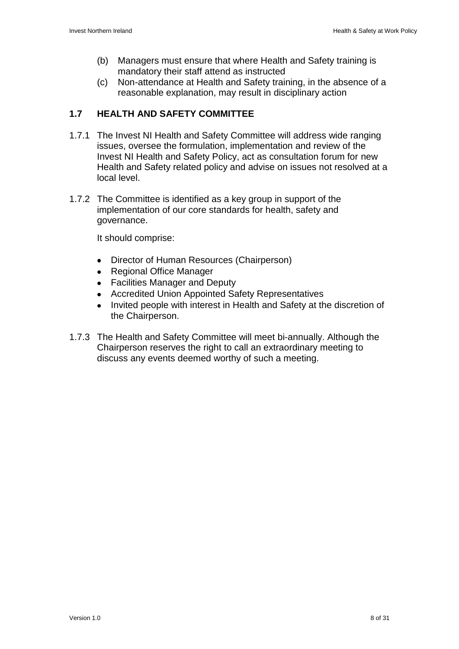- (b) Managers must ensure that where Health and Safety training is mandatory their staff attend as instructed
- (c) Non-attendance at Health and Safety training, in the absence of a reasonable explanation, may result in disciplinary action

#### **1.7 HEALTH AND SAFETY COMMITTEE**

- 1.7.1 The Invest NI Health and Safety Committee will address wide ranging issues, oversee the formulation, implementation and review of the Invest NI Health and Safety Policy, act as consultation forum for new Health and Safety related policy and advise on issues not resolved at a local level.
- 1.7.2 The Committee is identified as a key group in support of the implementation of our core standards for health, safety and governance.

It should comprise:

- Director of Human Resources (Chairperson)  $\bullet$
- Regional Office Manager  $\bullet$
- Facilities Manager and Deputy
- Accredited Union Appointed Safety Representatives
- Invited people with interest in Health and Safety at the discretion of the Chairperson.
- 1.7.3 The Health and Safety Committee will meet bi-annually. Although the Chairperson reserves the right to call an extraordinary meeting to discuss any events deemed worthy of such a meeting.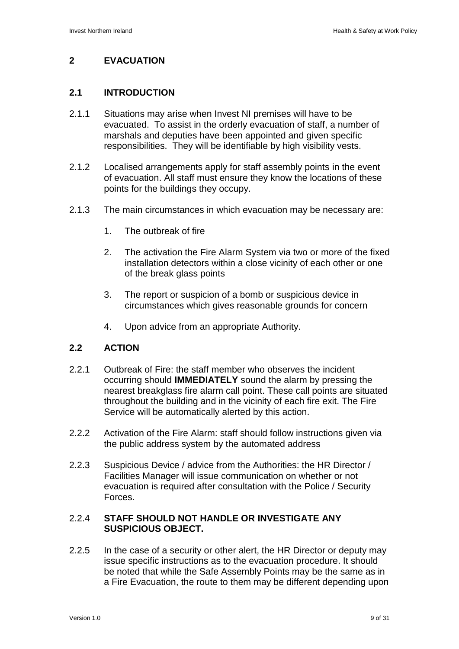#### **2 EVACUATION**

#### **2.1 INTRODUCTION**

- 2.1.1 Situations may arise when Invest NI premises will have to be evacuated. To assist in the orderly evacuation of staff, a number of marshals and deputies have been appointed and given specific responsibilities. They will be identifiable by high visibility vests.
- 2.1.2 Localised arrangements apply for staff assembly points in the event of evacuation. All staff must ensure they know the locations of these points for the buildings they occupy.
- 2.1.3 The main circumstances in which evacuation may be necessary are:
	- 1. The outbreak of fire
	- 2. The activation the Fire Alarm System via two or more of the fixed installation detectors within a close vicinity of each other or one of the break glass points
	- 3. The report or suspicion of a bomb or suspicious device in circumstances which gives reasonable grounds for concern
	- 4. Upon advice from an appropriate Authority.

#### **2.2 ACTION**

- 2.2.1 Outbreak of Fire: the staff member who observes the incident occurring should **IMMEDIATELY** sound the alarm by pressing the nearest breakglass fire alarm call point. These call points are situated throughout the building and in the vicinity of each fire exit. The Fire Service will be automatically alerted by this action.
- 2.2.2 Activation of the Fire Alarm: staff should follow instructions given via the public address system by the automated address
- 2.2.3 Suspicious Device / advice from the Authorities: the HR Director / Facilities Manager will issue communication on whether or not evacuation is required after consultation with the Police / Security Forces.

#### 2.2.4 **STAFF SHOULD NOT HANDLE OR INVESTIGATE ANY SUSPICIOUS OBJECT.**

2.2.5 In the case of a security or other alert, the HR Director or deputy may issue specific instructions as to the evacuation procedure. It should be noted that while the Safe Assembly Points may be the same as in a Fire Evacuation, the route to them may be different depending upon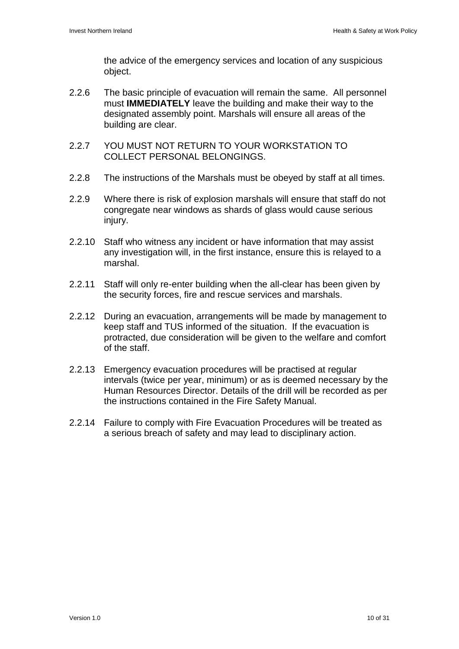the advice of the emergency services and location of any suspicious object.

- 2.2.6 The basic principle of evacuation will remain the same. All personnel must **IMMEDIATELY** leave the building and make their way to the designated assembly point. Marshals will ensure all areas of the building are clear.
- 2.2.7 YOU MUST NOT RETURN TO YOUR WORKSTATION TO COLLECT PERSONAL BELONGINGS.
- 2.2.8 The instructions of the Marshals must be obeyed by staff at all times.
- 2.2.9 Where there is risk of explosion marshals will ensure that staff do not congregate near windows as shards of glass would cause serious injury.
- 2.2.10 Staff who witness any incident or have information that may assist any investigation will, in the first instance, ensure this is relayed to a marshal.
- 2.2.11 Staff will only re-enter building when the all-clear has been given by the security forces, fire and rescue services and marshals.
- 2.2.12 During an evacuation, arrangements will be made by management to keep staff and TUS informed of the situation. If the evacuation is protracted, due consideration will be given to the welfare and comfort of the staff.
- 2.2.13 Emergency evacuation procedures will be practised at regular intervals (twice per year, minimum) or as is deemed necessary by the Human Resources Director. Details of the drill will be recorded as per the instructions contained in the Fire Safety Manual.
- 2.2.14 Failure to comply with Fire Evacuation Procedures will be treated as a serious breach of safety and may lead to disciplinary action.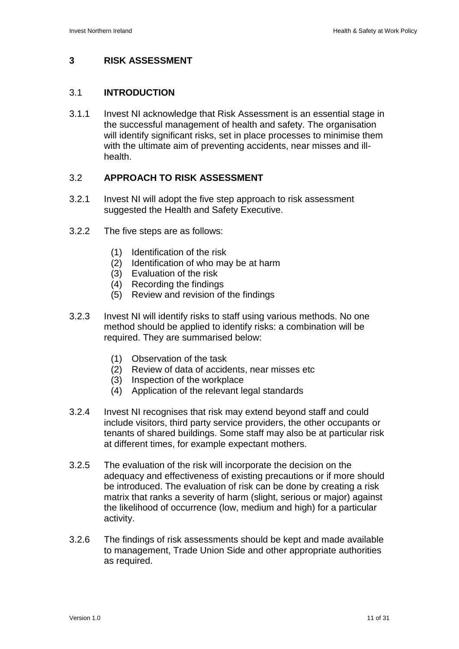#### **3 RISK ASSESSMENT**

#### 3.1 **INTRODUCTION**

3.1.1 Invest NI acknowledge that Risk Assessment is an essential stage in the successful management of health and safety. The organisation will identify significant risks, set in place processes to minimise them with the ultimate aim of preventing accidents, near misses and illhealth.

#### 3.2 **APPROACH TO RISK ASSESSMENT**

- 3.2.1 Invest NI will adopt the five step approach to risk assessment suggested the Health and Safety Executive.
- 3.2.2 The five steps are as follows:
	- (1) Identification of the risk
	- (2) Identification of who may be at harm
	- (3) Evaluation of the risk
	- (4) Recording the findings
	- (5) Review and revision of the findings
- 3.2.3 Invest NI will identify risks to staff using various methods. No one method should be applied to identify risks: a combination will be required. They are summarised below:
	- (1) Observation of the task
	- (2) Review of data of accidents, near misses etc
	- (3) Inspection of the workplace
	- (4) Application of the relevant legal standards
- 3.2.4 Invest NI recognises that risk may extend beyond staff and could include visitors, third party service providers, the other occupants or tenants of shared buildings. Some staff may also be at particular risk at different times, for example expectant mothers.
- 3.2.5 The evaluation of the risk will incorporate the decision on the adequacy and effectiveness of existing precautions or if more should be introduced. The evaluation of risk can be done by creating a risk matrix that ranks a severity of harm (slight, serious or major) against the likelihood of occurrence (low, medium and high) for a particular activity.
- 3.2.6 The findings of risk assessments should be kept and made available to management, Trade Union Side and other appropriate authorities as required.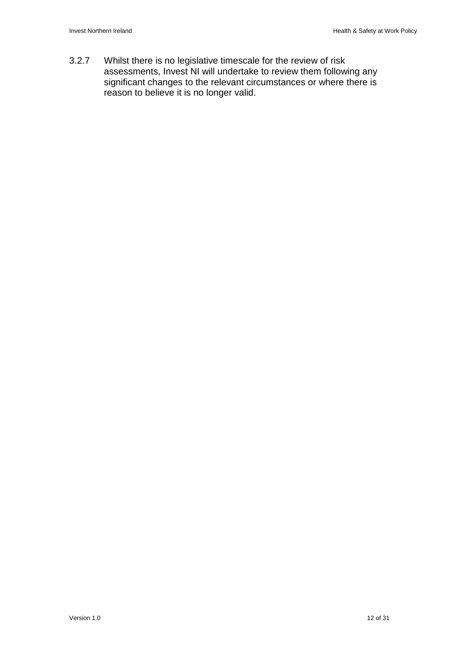3.2.7 Whilst there is no legislative timescale for the review of risk assessments, Invest NI will undertake to review them following any significant changes to the relevant circumstances or where there is reason to believe it is no longer valid.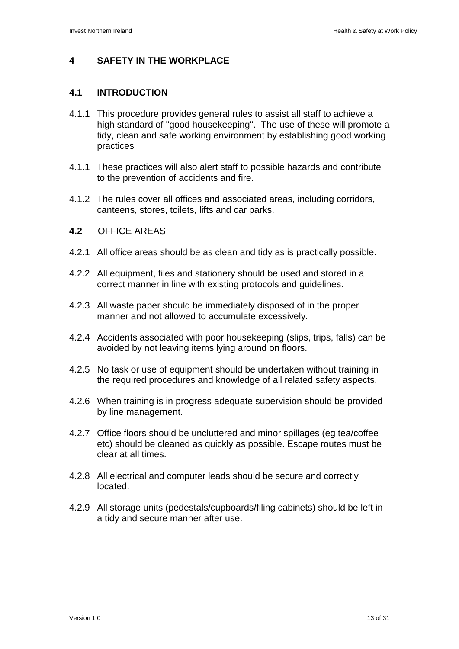#### **4 SAFETY IN THE WORKPLACE**

#### **4.1 INTRODUCTION**

- 4.1.1 This procedure provides general rules to assist all staff to achieve a high standard of "good housekeeping". The use of these will promote a tidy, clean and safe working environment by establishing good working practices
- 4.1.1 These practices will also alert staff to possible hazards and contribute to the prevention of accidents and fire.
- 4.1.2 The rules cover all offices and associated areas, including corridors, canteens, stores, toilets, lifts and car parks.
- **4.2** OFFICE AREAS
- 4.2.1 All office areas should be as clean and tidy as is practically possible.
- 4.2.2 All equipment, files and stationery should be used and stored in a correct manner in line with existing protocols and guidelines.
- 4.2.3 All waste paper should be immediately disposed of in the proper manner and not allowed to accumulate excessively.
- 4.2.4 Accidents associated with poor housekeeping (slips, trips, falls) can be avoided by not leaving items lying around on floors.
- 4.2.5 No task or use of equipment should be undertaken without training in the required procedures and knowledge of all related safety aspects.
- 4.2.6 When training is in progress adequate supervision should be provided by line management.
- 4.2.7 Office floors should be uncluttered and minor spillages (eg tea/coffee etc) should be cleaned as quickly as possible. Escape routes must be clear at all times.
- 4.2.8 All electrical and computer leads should be secure and correctly located.
- 4.2.9 All storage units (pedestals/cupboards/filing cabinets) should be left in a tidy and secure manner after use.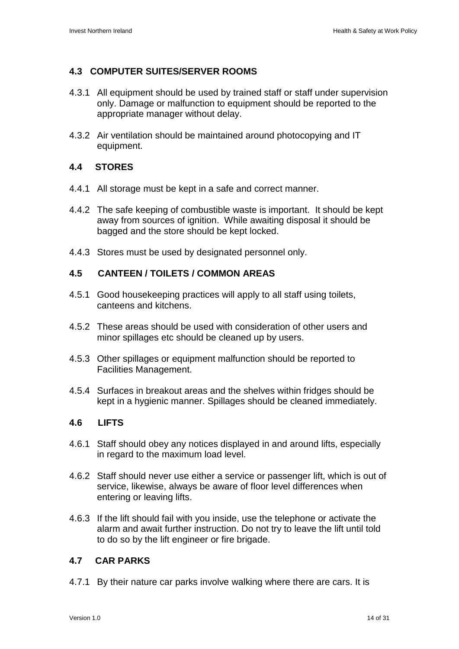#### **4.3 COMPUTER SUITES/SERVER ROOMS**

- 4.3.1 All equipment should be used by trained staff or staff under supervision only. Damage or malfunction to equipment should be reported to the appropriate manager without delay.
- 4.3.2 Air ventilation should be maintained around photocopying and IT equipment.

#### **4.4 STORES**

- 4.4.1 All storage must be kept in a safe and correct manner.
- 4.4.2 The safe keeping of combustible waste is important. It should be kept away from sources of ignition. While awaiting disposal it should be bagged and the store should be kept locked.
- 4.4.3 Stores must be used by designated personnel only.

#### **4.5 CANTEEN / TOILETS / COMMON AREAS**

- 4.5.1 Good housekeeping practices will apply to all staff using toilets, canteens and kitchens.
- 4.5.2 These areas should be used with consideration of other users and minor spillages etc should be cleaned up by users.
- 4.5.3 Other spillages or equipment malfunction should be reported to Facilities Management.
- 4.5.4 Surfaces in breakout areas and the shelves within fridges should be kept in a hygienic manner. Spillages should be cleaned immediately.

#### **4.6 LIFTS**

- 4.6.1 Staff should obey any notices displayed in and around lifts, especially in regard to the maximum load level.
- 4.6.2 Staff should never use either a service or passenger lift, which is out of service, likewise, always be aware of floor level differences when entering or leaving lifts.
- 4.6.3 If the lift should fail with you inside, use the telephone or activate the alarm and await further instruction. Do not try to leave the lift until told to do so by the lift engineer or fire brigade.

#### **4.7 CAR PARKS**

4.7.1 By their nature car parks involve walking where there are cars. It is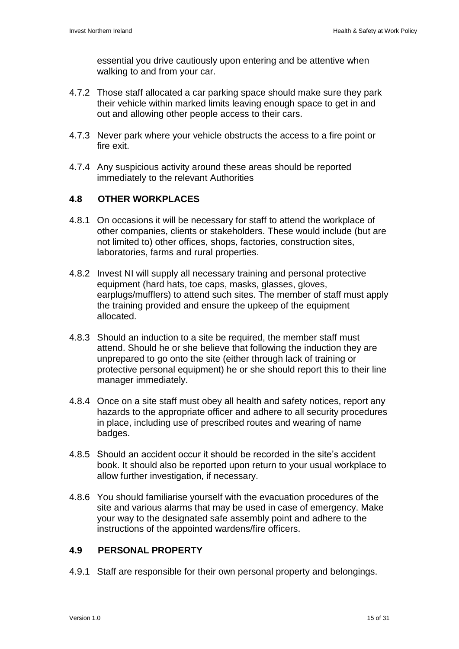essential you drive cautiously upon entering and be attentive when walking to and from your car.

- 4.7.2 Those staff allocated a car parking space should make sure they park their vehicle within marked limits leaving enough space to get in and out and allowing other people access to their cars.
- 4.7.3 Never park where your vehicle obstructs the access to a fire point or fire exit.
- 4.7.4 Any suspicious activity around these areas should be reported immediately to the relevant Authorities

#### **4.8 OTHER WORKPLACES**

- 4.8.1 On occasions it will be necessary for staff to attend the workplace of other companies, clients or stakeholders. These would include (but are not limited to) other offices, shops, factories, construction sites, laboratories, farms and rural properties.
- 4.8.2 Invest NI will supply all necessary training and personal protective equipment (hard hats, toe caps, masks, glasses, gloves, earplugs/mufflers) to attend such sites. The member of staff must apply the training provided and ensure the upkeep of the equipment allocated.
- 4.8.3 Should an induction to a site be required, the member staff must attend. Should he or she believe that following the induction they are unprepared to go onto the site (either through lack of training or protective personal equipment) he or she should report this to their line manager immediately.
- 4.8.4 Once on a site staff must obey all health and safety notices, report any hazards to the appropriate officer and adhere to all security procedures in place, including use of prescribed routes and wearing of name badges.
- 4.8.5 Should an accident occur it should be recorded in the site"s accident book. It should also be reported upon return to your usual workplace to allow further investigation, if necessary.
- 4.8.6 You should familiarise yourself with the evacuation procedures of the site and various alarms that may be used in case of emergency. Make your way to the designated safe assembly point and adhere to the instructions of the appointed wardens/fire officers.

#### **4.9 PERSONAL PROPERTY**

4.9.1 Staff are responsible for their own personal property and belongings.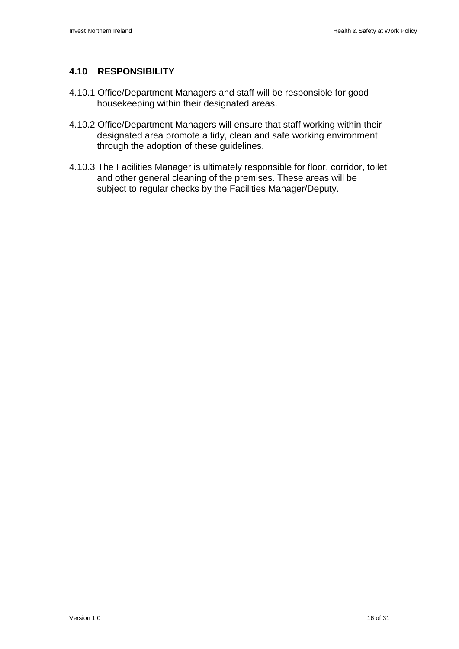#### **4.10 RESPONSIBILITY**

- 4.10.1 Office/Department Managers and staff will be responsible for good housekeeping within their designated areas.
- 4.10.2 Office/Department Managers will ensure that staff working within their designated area promote a tidy, clean and safe working environment through the adoption of these guidelines.
- 4.10.3 The Facilities Manager is ultimately responsible for floor, corridor, toilet and other general cleaning of the premises. These areas will be subject to regular checks by the Facilities Manager/Deputy.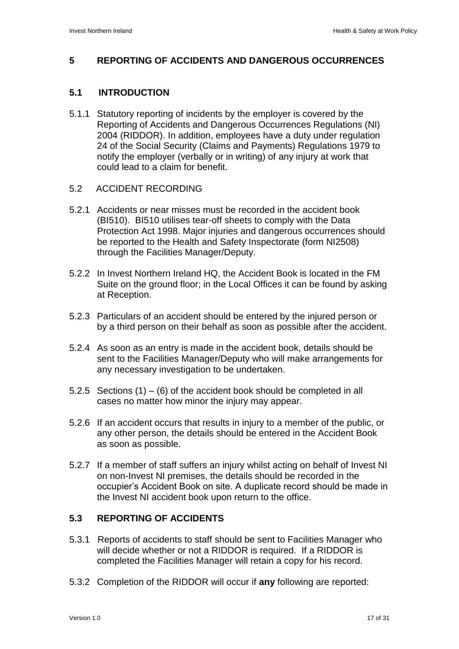#### **5 REPORTING OF ACCIDENTS AND DANGEROUS OCCURRENCES**

#### **5.1 INTRODUCTION**

- 5.1.1 Statutory reporting of incidents by the employer is covered by the Reporting of Accidents and Dangerous Occurrences Regulations (NI) 2004 (RIDDOR). In addition, employees have a duty under regulation 24 of the Social Security (Claims and Payments) Regulations 1979 to notify the employer (verbally or in writing) of any injury at work that could lead to a claim for benefit.
- 5.2 ACCIDENT RECORDING
- 5.2.1 Accidents or near misses must be recorded in the accident book (BI510). BI510 utilises tear-off sheets to comply with the Data Protection Act 1998. Major injuries and dangerous occurrences should be reported to the Health and Safety Inspectorate (form NI2508) through the Facilities Manager/Deputy.
- 5.2.2 In Invest Northern Ireland HQ, the Accident Book is located in the FM Suite on the ground floor; in the Local Offices it can be found by asking at Reception.
- 5.2.3 Particulars of an accident should be entered by the injured person or by a third person on their behalf as soon as possible after the accident.
- 5.2.4 As soon as an entry is made in the accident book, details should be sent to the Facilities Manager/Deputy who will make arrangements for any necessary investigation to be undertaken.
- 5.2.5 Sections  $(1) (6)$  of the accident book should be completed in all cases no matter how minor the injury may appear.
- 5.2.6 If an accident occurs that results in injury to a member of the public, or any other person, the details should be entered in the Accident Book as soon as possible.
- 5.2.7 If a member of staff suffers an injury whilst acting on behalf of Invest NI on non-Invest NI premises, the details should be recorded in the occupier"s Accident Book on site. A duplicate record should be made in the Invest NI accident book upon return to the office.

#### **5.3 REPORTING OF ACCIDENTS**

- 5.3.1 Reports of accidents to staff should be sent to Facilities Manager who will decide whether or not a RIDDOR is required. If a RIDDOR is completed the Facilities Manager will retain a copy for his record.
- 5.3.2 Completion of the RIDDOR will occur if **any** following are reported: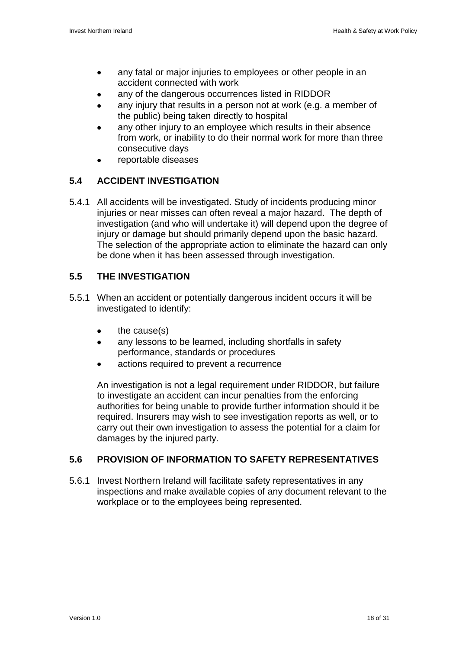- any fatal or major injuries to employees or other people in an  $\bullet$ accident connected with work
- any of the dangerous occurrences listed in RIDDOR
- any injury that results in a person not at work (e.g. a member of the public) being taken directly to hospital
- any other injury to an employee which results in their absence from work, or inability to do their normal work for more than three consecutive days
- reportable diseases

#### **5.4 ACCIDENT INVESTIGATION**

5.4.1 All accidents will be investigated. Study of incidents producing minor injuries or near misses can often reveal a major hazard. The depth of investigation (and who will undertake it) will depend upon the degree of injury or damage but should primarily depend upon the basic hazard. The selection of the appropriate action to eliminate the hazard can only be done when it has been assessed through investigation.

#### **5.5 THE INVESTIGATION**

- 5.5.1 When an accident or potentially dangerous incident occurs it will be investigated to identify:
	- the cause(s)  $\bullet$
	- any lessons to be learned, including shortfalls in safety  $\bullet$ performance, standards or procedures
	- actions required to prevent a recurrence

An investigation is not a legal requirement under RIDDOR, but failure to investigate an accident can incur penalties from the enforcing authorities for being unable to provide further information should it be required. Insurers may wish to see investigation reports as well, or to carry out their own investigation to assess the potential for a claim for damages by the injured party.

#### **5.6 PROVISION OF INFORMATION TO SAFETY REPRESENTATIVES**

5.6.1 Invest Northern Ireland will facilitate safety representatives in any inspections and make available copies of any document relevant to the workplace or to the employees being represented.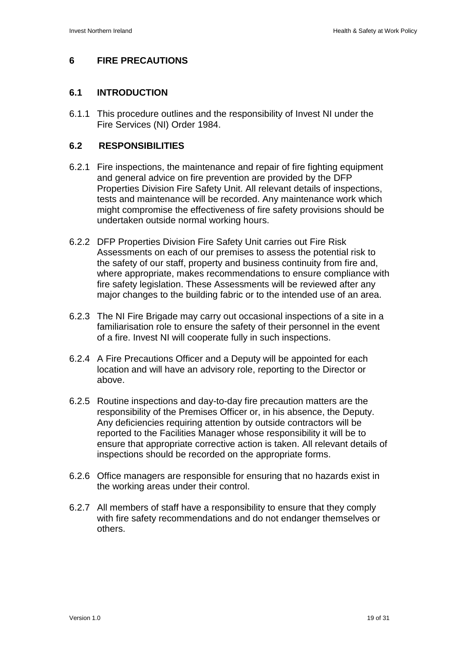#### **6 FIRE PRECAUTIONS**

#### **6.1 INTRODUCTION**

6.1.1 This procedure outlines and the responsibility of Invest NI under the Fire Services (NI) Order 1984.

#### **6.2 RESPONSIBILITIES**

- 6.2.1 Fire inspections, the maintenance and repair of fire fighting equipment and general advice on fire prevention are provided by the DFP Properties Division Fire Safety Unit. All relevant details of inspections, tests and maintenance will be recorded. Any maintenance work which might compromise the effectiveness of fire safety provisions should be undertaken outside normal working hours.
- 6.2.2 DFP Properties Division Fire Safety Unit carries out Fire Risk Assessments on each of our premises to assess the potential risk to the safety of our staff, property and business continuity from fire and, where appropriate, makes recommendations to ensure compliance with fire safety legislation. These Assessments will be reviewed after any major changes to the building fabric or to the intended use of an area.
- 6.2.3 The NI Fire Brigade may carry out occasional inspections of a site in a familiarisation role to ensure the safety of their personnel in the event of a fire. Invest NI will cooperate fully in such inspections.
- 6.2.4 A Fire Precautions Officer and a Deputy will be appointed for each location and will have an advisory role, reporting to the Director or above.
- 6.2.5 Routine inspections and day-to-day fire precaution matters are the responsibility of the Premises Officer or, in his absence, the Deputy. Any deficiencies requiring attention by outside contractors will be reported to the Facilities Manager whose responsibility it will be to ensure that appropriate corrective action is taken. All relevant details of inspections should be recorded on the appropriate forms.
- 6.2.6 Office managers are responsible for ensuring that no hazards exist in the working areas under their control.
- 6.2.7 All members of staff have a responsibility to ensure that they comply with fire safety recommendations and do not endanger themselves or others.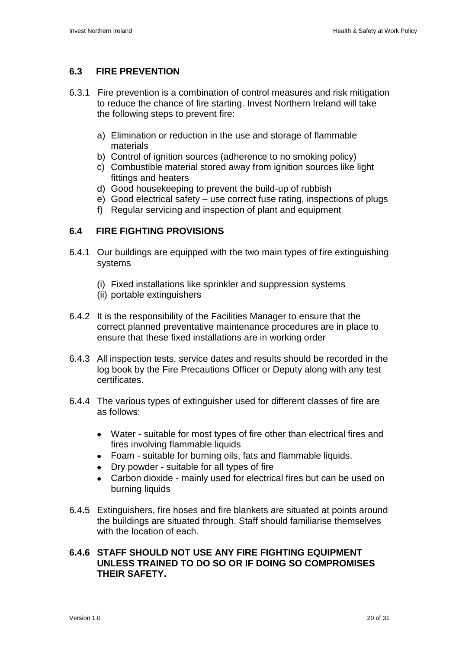#### **6.3 FIRE PREVENTION**

- 6.3.1 Fire prevention is a combination of control measures and risk mitigation to reduce the chance of fire starting. Invest Northern Ireland will take the following steps to prevent fire:
	- a) Elimination or reduction in the use and storage of flammable materials
	- b) Control of ignition sources (adherence to no smoking policy)
	- c) Combustible material stored away from ignition sources like light fittings and heaters
	- d) Good housekeeping to prevent the build-up of rubbish
	- e) Good electrical safety use correct fuse rating, inspections of plugs
	- f) Regular servicing and inspection of plant and equipment

#### **6.4 FIRE FIGHTING PROVISIONS**

- 6.4.1 Our buildings are equipped with the two main types of fire extinguishing systems
	- (i) Fixed installations like sprinkler and suppression systems
	- (ii) portable extinguishers
- 6.4.2 It is the responsibility of the Facilities Manager to ensure that the correct planned preventative maintenance procedures are in place to ensure that these fixed installations are in working order
- 6.4.3 All inspection tests, service dates and results should be recorded in the log book by the Fire Precautions Officer or Deputy along with any test certificates.
- 6.4.4 The various types of extinguisher used for different classes of fire are as follows:
	- Water suitable for most types of fire other than electrical fires and fires involving flammable liquids
	- Foam suitable for burning oils, fats and flammable liquids.
	- Dry powder suitable for all types of fire
	- Carbon dioxide mainly used for electrical fires but can be used on burning liquids
- 6.4.5 Extinguishers, fire hoses and fire blankets are situated at points around the buildings are situated through. Staff should familiarise themselves with the location of each.

#### **6.4.6 STAFF SHOULD NOT USE ANY FIRE FIGHTING EQUIPMENT UNLESS TRAINED TO DO SO OR IF DOING SO COMPROMISES THEIR SAFETY.**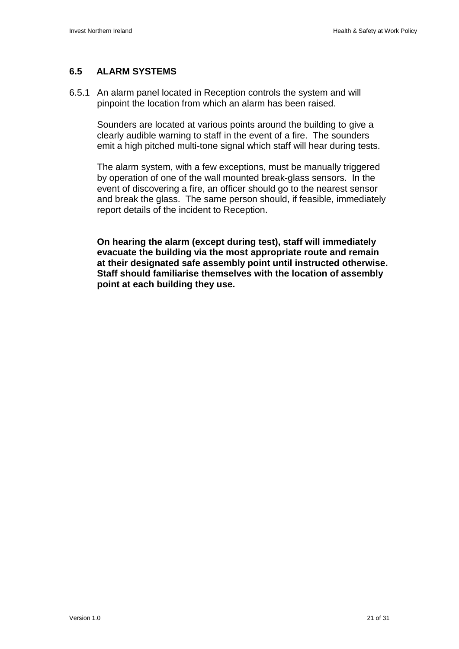#### **6.5 ALARM SYSTEMS**

6.5.1 An alarm panel located in Reception controls the system and will pinpoint the location from which an alarm has been raised.

Sounders are located at various points around the building to give a clearly audible warning to staff in the event of a fire. The sounders emit a high pitched multi-tone signal which staff will hear during tests.

The alarm system, with a few exceptions, must be manually triggered by operation of one of the wall mounted break-glass sensors. In the event of discovering a fire, an officer should go to the nearest sensor and break the glass. The same person should, if feasible, immediately report details of the incident to Reception.

**On hearing the alarm (except during test), staff will immediately evacuate the building via the most appropriate route and remain at their designated safe assembly point until instructed otherwise. Staff should familiarise themselves with the location of assembly point at each building they use.**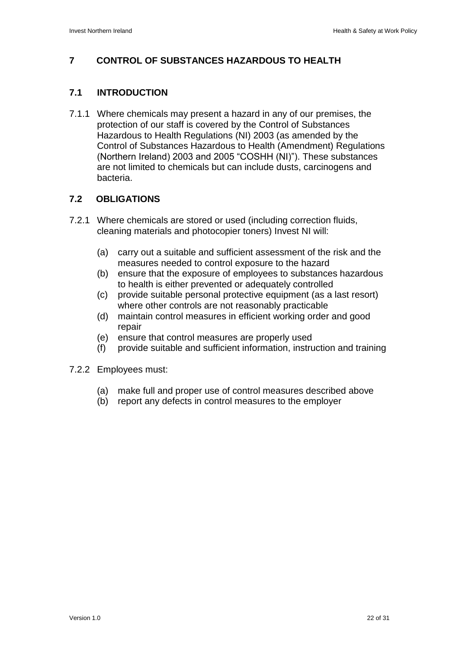#### **7 CONTROL OF SUBSTANCES HAZARDOUS TO HEALTH**

#### **7.1 INTRODUCTION**

7.1.1 Where chemicals may present a hazard in any of our premises, the protection of our staff is covered by the Control of Substances Hazardous to Health Regulations (NI) 2003 (as amended by the Control of Substances Hazardous to Health (Amendment) Regulations (Northern Ireland) 2003 and 2005 "COSHH (NI)"). These substances are not limited to chemicals but can include dusts, carcinogens and bacteria.

#### **7.2 OBLIGATIONS**

- 7.2.1 Where chemicals are stored or used (including correction fluids, cleaning materials and photocopier toners) Invest NI will:
	- (a) carry out a suitable and sufficient assessment of the risk and the measures needed to control exposure to the hazard
	- (b) ensure that the exposure of employees to substances hazardous to health is either prevented or adequately controlled
	- (c) provide suitable personal protective equipment (as a last resort) where other controls are not reasonably practicable
	- (d) maintain control measures in efficient working order and good repair
	- (e) ensure that control measures are properly used
	- (f) provide suitable and sufficient information, instruction and training
- 7.2.2 Employees must:
	- (a) make full and proper use of control measures described above
	- (b) report any defects in control measures to the employer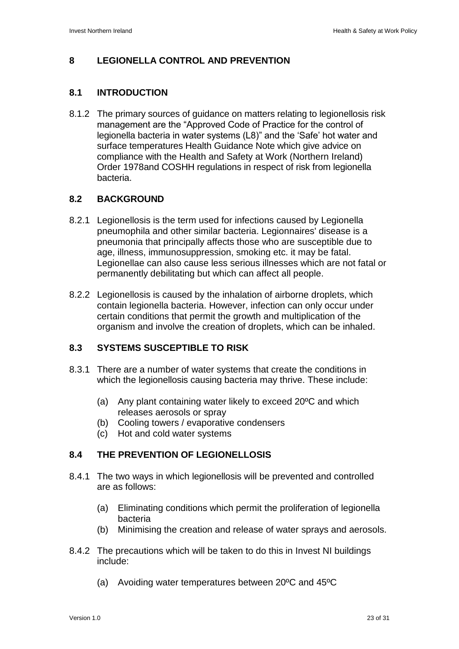#### **8 LEGIONELLA CONTROL AND PREVENTION**

#### **8.1 INTRODUCTION**

8.1.2 The primary sources of guidance on matters relating to legionellosis risk management are the "Approved Code of Practice for the control of legionella bacteria in water systems (L8)" and the "Safe" hot water and surface temperatures Health Guidance Note which give advice on compliance with the Health and Safety at Work (Northern Ireland) Order 1978and COSHH regulations in respect of risk from legionella bacteria.

#### **8.2 BACKGROUND**

- 8.2.1 Legionellosis is the term used for infections caused by Legionella pneumophila and other similar bacteria. Legionnaires' disease is a pneumonia that principally affects those who are susceptible due to age, illness, immunosuppression, smoking etc. it may be fatal. Legionellae can also cause less serious illnesses which are not fatal or permanently debilitating but which can affect all people.
- 8.2.2 Legionellosis is caused by the inhalation of airborne droplets, which contain legionella bacteria. However, infection can only occur under certain conditions that permit the growth and multiplication of the organism and involve the creation of droplets, which can be inhaled.

#### **8.3 SYSTEMS SUSCEPTIBLE TO RISK**

- 8.3.1 There are a number of water systems that create the conditions in which the legionellosis causing bacteria may thrive. These include:
	- (a) Any plant containing water likely to exceed 20ºC and which releases aerosols or spray
	- (b) Cooling towers / evaporative condensers
	- (c) Hot and cold water systems

#### **8.4 THE PREVENTION OF LEGIONELLOSIS**

- 8.4.1 The two ways in which legionellosis will be prevented and controlled are as follows:
	- (a) Eliminating conditions which permit the proliferation of legionella bacteria
	- (b) Minimising the creation and release of water sprays and aerosols.
- 8.4.2 The precautions which will be taken to do this in Invest NI buildings include:
	- (a) Avoiding water temperatures between 20ºC and 45ºC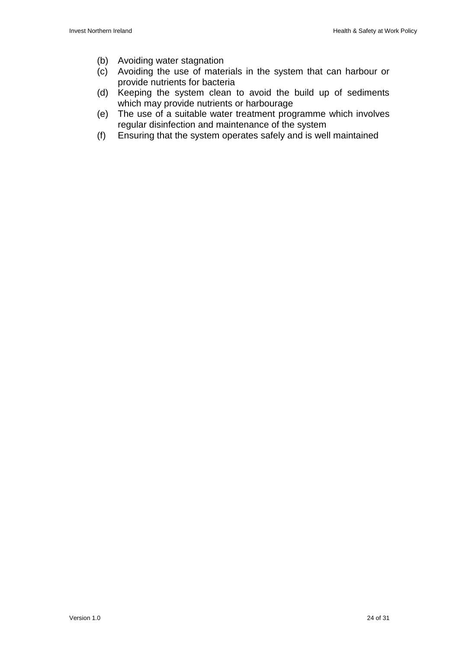- (b) Avoiding water stagnation
- (c) Avoiding the use of materials in the system that can harbour or provide nutrients for bacteria
- (d) Keeping the system clean to avoid the build up of sediments which may provide nutrients or harbourage
- (e) The use of a suitable water treatment programme which involves regular disinfection and maintenance of the system
- (f) Ensuring that the system operates safely and is well maintained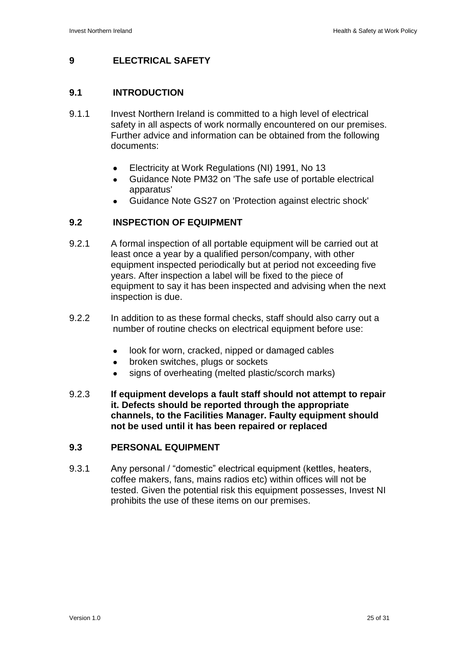#### **9 ELECTRICAL SAFETY**

#### **9.1 INTRODUCTION**

- 9.1.1 Invest Northern Ireland is committed to a high level of electrical safety in all aspects of work normally encountered on our premises. Further advice and information can be obtained from the following documents:
	- Electricity at Work Regulations (NI) 1991, No 13  $\bullet$
	- Guidance Note PM32 on 'The safe use of portable electrical apparatus'
	- Guidance Note GS27 on 'Protection against electric shock'

#### **9.2 INSPECTION OF EQUIPMENT**

- 9.2.1 A formal inspection of all portable equipment will be carried out at least once a year by a qualified person/company, with other equipment inspected periodically but at period not exceeding five years. After inspection a label will be fixed to the piece of equipment to say it has been inspected and advising when the next inspection is due.
- 9.2.2 In addition to as these formal checks, staff should also carry out a number of routine checks on electrical equipment before use:
	- look for worn, cracked, nipped or damaged cables  $\bullet$
	- broken switches, plugs or sockets  $\bullet$
	- signs of overheating (melted plastic/scorch marks)  $\bullet$
- 9.2.3 **If equipment develops a fault staff should not attempt to repair it. Defects should be reported through the appropriate channels, to the Facilities Manager. Faulty equipment should not be used until it has been repaired or replaced**

#### **9.3 PERSONAL EQUIPMENT**

9.3.1 Any personal / "domestic" electrical equipment (kettles, heaters, coffee makers, fans, mains radios etc) within offices will not be tested. Given the potential risk this equipment possesses, Invest NI prohibits the use of these items on our premises.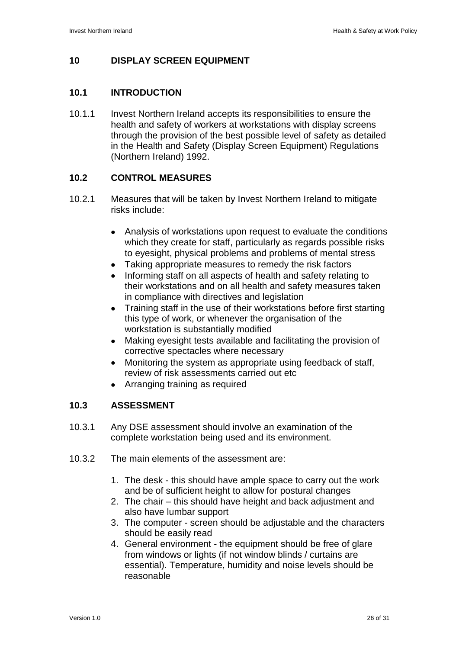#### **10 DISPLAY SCREEN EQUIPMENT**

#### **10.1 INTRODUCTION**

10.1.1 Invest Northern Ireland accepts its responsibilities to ensure the health and safety of workers at workstations with display screens through the provision of the best possible level of safety as detailed in the Health and Safety (Display Screen Equipment) Regulations (Northern Ireland) 1992.

#### **10.2 CONTROL MEASURES**

- 10.2.1 Measures that will be taken by Invest Northern Ireland to mitigate risks include:
	- $\bullet$ Analysis of workstations upon request to evaluate the conditions which they create for staff, particularly as regards possible risks to eyesight, physical problems and problems of mental stress
	- Taking appropriate measures to remedy the risk factors
	- Informing staff on all aspects of health and safety relating to their workstations and on all health and safety measures taken in compliance with directives and legislation
	- Training staff in the use of their workstations before first starting this type of work, or whenever the organisation of the workstation is substantially modified
	- $\bullet$ Making eyesight tests available and facilitating the provision of corrective spectacles where necessary
	- Monitoring the system as appropriate using feedback of staff,  $\bullet$ review of risk assessments carried out etc
	- Arranging training as required

#### **10.3 ASSESSMENT**

- 10.3.1 Any DSE assessment should involve an examination of the complete workstation being used and its environment.
- 10.3.2 The main elements of the assessment are:
	- 1. The desk this should have ample space to carry out the work and be of sufficient height to allow for postural changes
	- 2. The chair this should have height and back adjustment and also have lumbar support
	- 3. The computer screen should be adjustable and the characters should be easily read
	- 4. General environment the equipment should be free of glare from windows or lights (if not window blinds / curtains are essential). Temperature, humidity and noise levels should be reasonable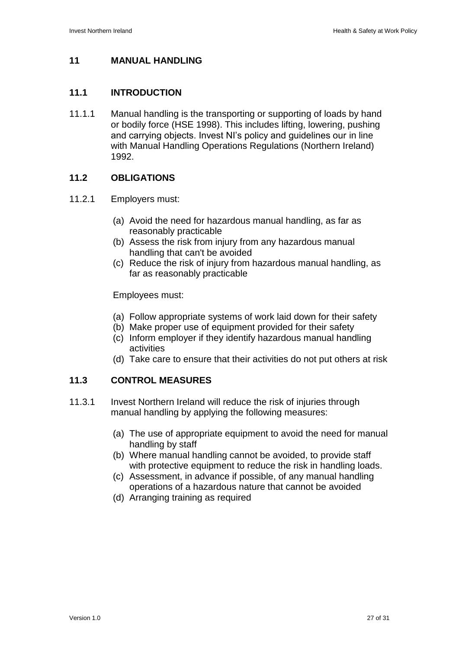#### **11 MANUAL HANDLING**

#### **11.1 INTRODUCTION**

11.1.1 Manual handling is the transporting or supporting of loads by hand or bodily force (HSE 1998). This includes lifting, lowering, pushing and carrying objects. Invest NI"s policy and guidelines our in line with Manual Handling Operations Regulations (Northern Ireland) 1992.

#### **11.2 OBLIGATIONS**

#### 11.2.1 Employers must:

- (a) Avoid the need for hazardous manual handling, as far as reasonably practicable
- (b) Assess the risk from injury from any hazardous manual handling that can't be avoided
- (c) Reduce the risk of injury from hazardous manual handling, as far as reasonably practicable

#### Employees must:

- (a) Follow appropriate systems of work laid down for their safety
- (b) Make proper use of equipment provided for their safety
- (c) Inform employer if they identify hazardous manual handling activities
- (d) Take care to ensure that their activities do not put others at risk

#### **11.3 CONTROL MEASURES**

- 11.3.1 Invest Northern Ireland will reduce the risk of injuries through manual handling by applying the following measures:
	- (a) The use of appropriate equipment to avoid the need for manual handling by staff
	- (b) Where manual handling cannot be avoided, to provide staff with protective equipment to reduce the risk in handling loads.
	- (c) Assessment, in advance if possible, of any manual handling operations of a hazardous nature that cannot be avoided
	- (d) Arranging training as required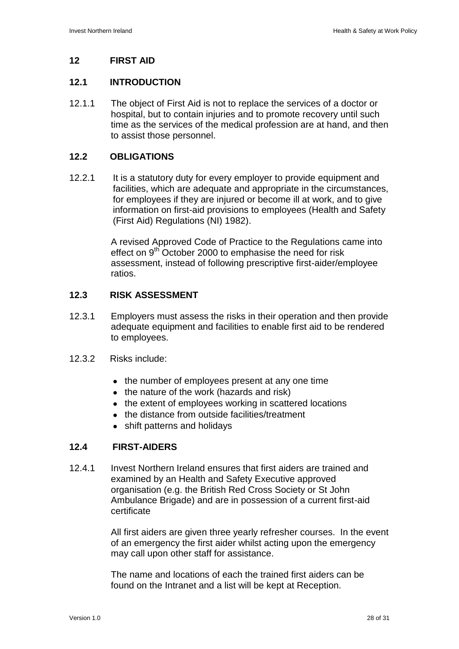#### **12 FIRST AID**

#### **12.1 INTRODUCTION**

12.1.1 The object of First Aid is not to replace the services of a doctor or hospital, but to contain injuries and to promote recovery until such time as the services of the medical profession are at hand, and then to assist those personnel.

#### **12.2 OBLIGATIONS**

12.2.1 It is a statutory duty for every employer to provide equipment and facilities, which are adequate and appropriate in the circumstances, for employees if they are injured or become ill at work, and to give information on first-aid provisions to employees (Health and Safety (First Aid) Regulations (NI) 1982).

> A revised Approved Code of Practice to the Regulations came into effect on 9<sup>th</sup> October 2000 to emphasise the need for risk assessment, instead of following prescriptive first-aider/employee ratios.

#### **12.3 RISK ASSESSMENT**

- 12.3.1 Employers must assess the risks in their operation and then provide adequate equipment and facilities to enable first aid to be rendered to employees.
- 12.3.2 Risks include:
	- the number of employees present at any one time
	- the nature of the work (hazards and risk)
	- the extent of employees working in scattered locations
	- the distance from outside facilities/treatment
	- shift patterns and holidays

#### **12.4 FIRST-AIDERS**

12.4.1 Invest Northern Ireland ensures that first aiders are trained and examined by an Health and Safety Executive approved organisation (e.g. the British Red Cross Society or St John Ambulance Brigade) and are in possession of a current first-aid certificate

> All first aiders are given three yearly refresher courses. In the event of an emergency the first aider whilst acting upon the emergency may call upon other staff for assistance.

The name and locations of each the trained first aiders can be found on the Intranet and a list will be kept at Reception.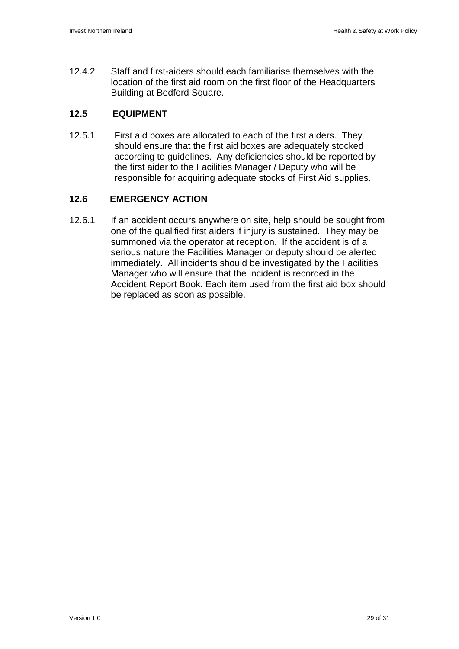12.4.2 Staff and first-aiders should each familiarise themselves with the location of the first aid room on the first floor of the Headquarters Building at Bedford Square.

#### **12.5 EQUIPMENT**

12.5.1 First aid boxes are allocated to each of the first aiders. They should ensure that the first aid boxes are adequately stocked according to guidelines. Any deficiencies should be reported by the first aider to the Facilities Manager / Deputy who will be responsible for acquiring adequate stocks of First Aid supplies.

#### **12.6 EMERGENCY ACTION**

12.6.1 If an accident occurs anywhere on site, help should be sought from one of the qualified first aiders if injury is sustained. They may be summoned via the operator at reception. If the accident is of a serious nature the Facilities Manager or deputy should be alerted immediately. All incidents should be investigated by the Facilities Manager who will ensure that the incident is recorded in the Accident Report Book. Each item used from the first aid box should be replaced as soon as possible.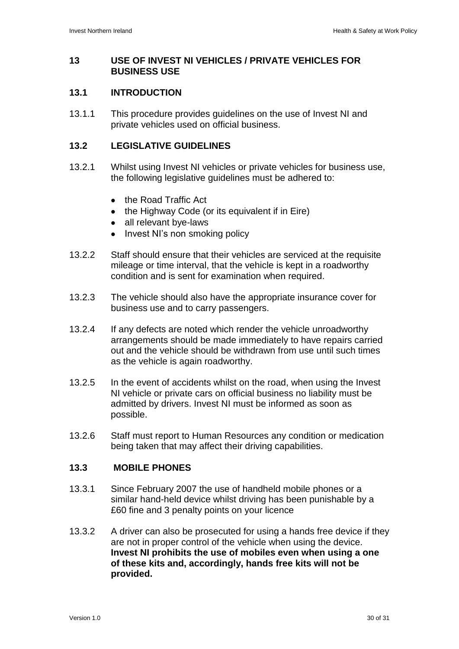#### **13 USE OF INVEST NI VEHICLES / PRIVATE VEHICLES FOR BUSINESS USE**

#### **13.1 INTRODUCTION**

13.1.1 This procedure provides guidelines on the use of Invest NI and private vehicles used on official business.

#### **13.2 LEGISLATIVE GUIDELINES**

- 13.2.1 Whilst using Invest NI vehicles or private vehicles for business use, the following legislative guidelines must be adhered to:
	- the Road Traffic Act
	- the Highway Code (or its equivalent if in Eire)
	- all relevant bye-laws
	- Invest NI's non smoking policy
- 13.2.2 Staff should ensure that their vehicles are serviced at the requisite mileage or time interval, that the vehicle is kept in a roadworthy condition and is sent for examination when required.
- 13.2.3 The vehicle should also have the appropriate insurance cover for business use and to carry passengers.
- 13.2.4 If any defects are noted which render the vehicle unroadworthy arrangements should be made immediately to have repairs carried out and the vehicle should be withdrawn from use until such times as the vehicle is again roadworthy.
- 13.2.5 In the event of accidents whilst on the road, when using the Invest NI vehicle or private cars on official business no liability must be admitted by drivers. Invest NI must be informed as soon as possible.
- 13.2.6 Staff must report to Human Resources any condition or medication being taken that may affect their driving capabilities.

#### **13.3 MOBILE PHONES**

- 13.3.1 Since February 2007 the use of handheld mobile phones or a similar hand-held device whilst driving has been punishable by a £60 fine and 3 penalty points on your licence
- 13.3.2 A driver can also be prosecuted for using a hands free device if they are not in proper control of the vehicle when using the device. **Invest NI prohibits the use of mobiles even when using a one of these kits and, accordingly, hands free kits will not be provided.**